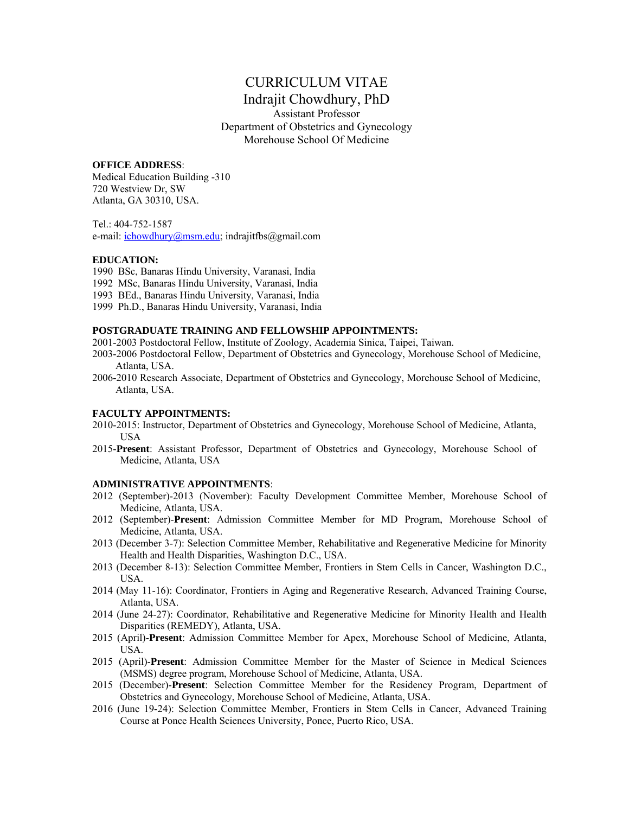# CURRICULUM VITAE

# Indrajit Chowdhury, PhD Assistant Professor Department of Obstetrics and Gynecology Morehouse School Of Medicine

## **OFFICE ADDRESS**:

Medical Education Building -310 720 Westview Dr, SW Atlanta, GA 30310, USA.

Tel.: 404-752-1587 e-mail: ichowdhury@msm.edu; indrajitfbs@gmail.com

# **EDUCATION:**

1990 BSc, Banaras Hindu University, Varanasi, India

- 1992 MSc, Banaras Hindu University, Varanasi, India
- 1993 BEd., Banaras Hindu University, Varanasi, India
- 1999 Ph.D., Banaras Hindu University, Varanasi, India

## **POSTGRADUATE TRAINING AND FELLOWSHIP APPOINTMENTS:**

- 2001-2003 Postdoctoral Fellow, Institute of Zoology, Academia Sinica, Taipei, Taiwan.
- 2003-2006 Postdoctoral Fellow, Department of Obstetrics and Gynecology, Morehouse School of Medicine, Atlanta, USA.
- 2006-2010 Research Associate, Department of Obstetrics and Gynecology, Morehouse School of Medicine, Atlanta, USA.

# **FACULTY APPOINTMENTS:**

- 2010-2015: Instructor, Department of Obstetrics and Gynecology, Morehouse School of Medicine, Atlanta, USA
- 2015-**Present**: Assistant Professor, Department of Obstetrics and Gynecology, Morehouse School of Medicine, Atlanta, USA

## **ADMINISTRATIVE APPOINTMENTS**:

- 2012 (September)-2013 (November): Faculty Development Committee Member, Morehouse School of Medicine, Atlanta, USA.
- 2012 (September)-**Present**: Admission Committee Member for MD Program, Morehouse School of Medicine, Atlanta, USA.
- 2013 (December 3-7): Selection Committee Member, Rehabilitative and Regenerative Medicine for Minority Health and Health Disparities, Washington D.C., USA.
- 2013 (December 8-13): Selection Committee Member, Frontiers in Stem Cells in Cancer, Washington D.C., USA.
- 2014 (May 11-16): Coordinator, Frontiers in Aging and Regenerative Research, Advanced Training Course, Atlanta, USA.
- 2014 (June 24-27): Coordinator, Rehabilitative and Regenerative Medicine for Minority Health and Health Disparities (REMEDY), Atlanta, USA.
- 2015 (April)-**Present**: Admission Committee Member for Apex, Morehouse School of Medicine, Atlanta, USA.
- 2015 (April)-**Present**: Admission Committee Member for the Master of Science in Medical Sciences (MSMS) degree program, Morehouse School of Medicine, Atlanta, USA.
- 2015 (December)-**Present**: Selection Committee Member for the Residency Program, Department of Obstetrics and Gynecology, Morehouse School of Medicine, Atlanta, USA.
- 2016 (June 19-24): Selection Committee Member, Frontiers in Stem Cells in Cancer, Advanced Training Course at Ponce Health Sciences University, Ponce, Puerto Rico, USA.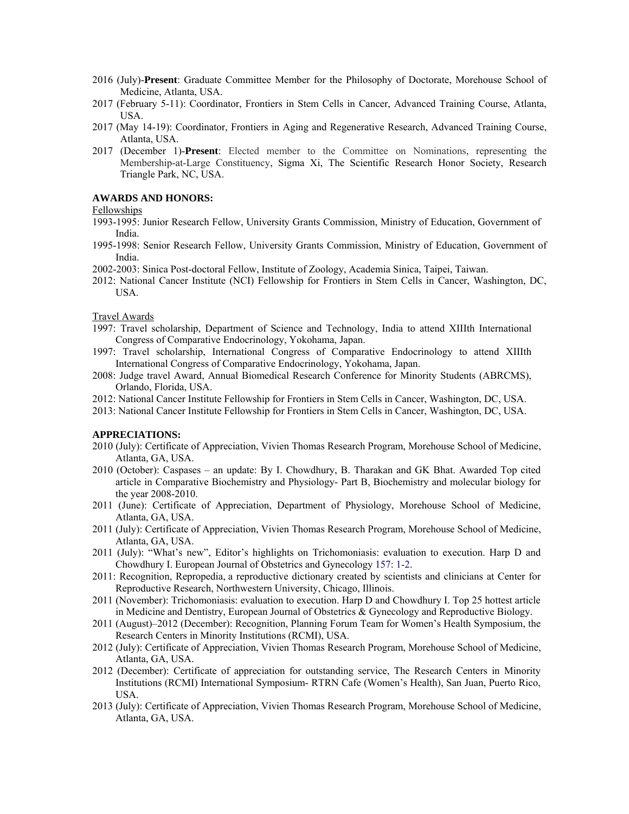- 2016 (July)-**Present**: Graduate Committee Member for the Philosophy of Doctorate, Morehouse School of Medicine, Atlanta, USA.
- 2017 (February 5-11): Coordinator, Frontiers in Stem Cells in Cancer, Advanced Training Course, Atlanta, USA.
- 2017 (May 14-19): Coordinator, Frontiers in Aging and Regenerative Research, Advanced Training Course, Atlanta, USA.
- 2017 (December 1)-**Present**: Elected member to the Committee on Nominations, representing the Membership-at-Large Constituency, Sigma Xi, The Scientific Research Honor Society, Research Triangle Park, NC, USA.

# **AWARDS AND HONORS:**

#### Fellowships

- 1993-1995: Junior Research Fellow, University Grants Commission, Ministry of Education, Government of India.
- 1995-1998: Senior Research Fellow, University Grants Commission, Ministry of Education, Government of India.
- 2002-2003: Sinica Post-doctoral Fellow, Institute of Zoology, Academia Sinica, Taipei, Taiwan.
- 2012: National Cancer Institute (NCI) Fellowship for Frontiers in Stem Cells in Cancer, Washington, DC, USA.

#### Travel Awards

- 1997: Travel scholarship, Department of Science and Technology, India to attend XIIIth International Congress of Comparative Endocrinology, Yokohama, Japan.
- 1997: Travel scholarship, International Congress of Comparative Endocrinology to attend XIIIth International Congress of Comparative Endocrinology, Yokohama, Japan.
- 2008: Judge travel Award, Annual Biomedical Research Conference for Minority Students (ABRCMS), Orlando, Florida, USA.
- 2012: National Cancer Institute Fellowship for Frontiers in Stem Cells in Cancer, Washington, DC, USA.
- 2013: National Cancer Institute Fellowship for Frontiers in Stem Cells in Cancer, Washington, DC, USA.

# **APPRECIATIONS:**

- 2010 (July): Certificate of Appreciation, Vivien Thomas Research Program, Morehouse School of Medicine, Atlanta, GA, USA.
- 2010 (October): Caspases an update: By I. Chowdhury, B. Tharakan and GK Bhat. Awarded Top cited article in Comparative Biochemistry and Physiology- Part B, Biochemistry and molecular biology for the year 2008-2010.
- 2011 (June): Certificate of Appreciation, Department of Physiology, Morehouse School of Medicine, Atlanta, GA, USA.
- 2011 (July): Certificate of Appreciation, Vivien Thomas Research Program, Morehouse School of Medicine, Atlanta, GA, USA.
- 2011 (July): "What's new", Editor's highlights on Trichomoniasis: evaluation to execution. Harp D and Chowdhury I. European Journal of Obstetrics and Gynecology 157: 1-2.
- 2011: Recognition, Repropedia, a reproductive dictionary created by scientists and clinicians at Center for Reproductive Research, Northwestern University, Chicago, Illinois.
- 2011 (November): Trichomoniasis: evaluation to execution. Harp D and Chowdhury I. Top 25 hottest article in Medicine and Dentistry, European Journal of Obstetrics & Gynecology and Reproductive Biology.
- 2011 (August)–2012 (December): Recognition, Planning Forum Team for Women's Health Symposium, the Research Centers in Minority Institutions (RCMI), USA.
- 2012 (July): Certificate of Appreciation, Vivien Thomas Research Program, Morehouse School of Medicine, Atlanta, GA, USA.
- 2012 (December): Certificate of appreciation for outstanding service, The Research Centers in Minority Institutions (RCMI) International Symposium- RTRN Cafe (Women's Health), San Juan, Puerto Rico, USA.
- 2013 (July): Certificate of Appreciation, Vivien Thomas Research Program, Morehouse School of Medicine, Atlanta, GA, USA.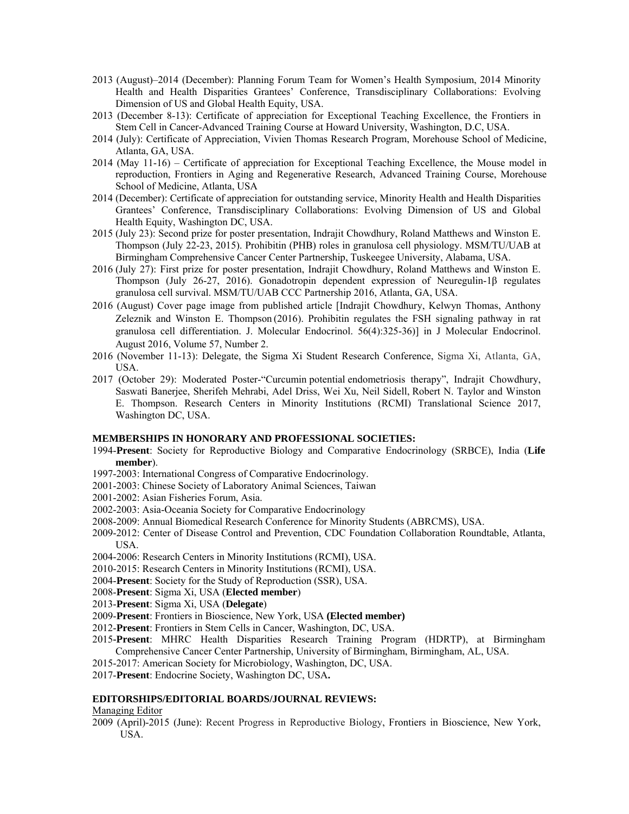- 2013 (August)–2014 (December): Planning Forum Team for Women's Health Symposium, 2014 Minority Health and Health Disparities Grantees' Conference, Transdisciplinary Collaborations: Evolving Dimension of US and Global Health Equity, USA.
- 2013 (December 8-13): Certificate of appreciation for Exceptional Teaching Excellence, the Frontiers in Stem Cell in Cancer-Advanced Training Course at Howard University, Washington, D.C, USA.
- 2014 (July): Certificate of Appreciation, Vivien Thomas Research Program, Morehouse School of Medicine, Atlanta, GA, USA.
- 2014 (May 11-16) Certificate of appreciation for Exceptional Teaching Excellence, the Mouse model in reproduction, Frontiers in Aging and Regenerative Research, Advanced Training Course, Morehouse School of Medicine, Atlanta, USA
- 2014 (December): Certificate of appreciation for outstanding service, Minority Health and Health Disparities Grantees' Conference, Transdisciplinary Collaborations: Evolving Dimension of US and Global Health Equity, Washington DC, USA.
- 2015 (July 23): Second prize for poster presentation, Indrajit Chowdhury, Roland Matthews and Winston E. Thompson (July 22-23, 2015). Prohibitin (PHB) roles in granulosa cell physiology. MSM/TU/UAB at Birmingham Comprehensive Cancer Center Partnership, Tuskeegee University, Alabama, USA.
- 2016 (July 27): First prize for poster presentation, Indrajit Chowdhury, Roland Matthews and Winston E. Thompson (July 26-27, 2016). Gonadotropin dependent expression of Neuregulin-1β regulates granulosa cell survival. MSM/TU/UAB CCC Partnership 2016, Atlanta, GA, USA.
- 2016 (August) Cover page image from published article [Indrajit Chowdhury, Kelwyn Thomas, Anthony Zeleznik and Winston E. Thompson (2016). Prohibitin regulates the FSH signaling pathway in rat granulosa cell differentiation. J. Molecular Endocrinol. 56(4):325-36)] in J Molecular Endocrinol. August 2016, Volume 57, Number 2.
- 2016 (November 11-13): Delegate, the Sigma Xi Student Research Conference, Sigma Xi, Atlanta, GA, USA.
- 2017 (October 29): Moderated Poster-"Curcumin potential endometriosis therapy", Indrajit Chowdhury, Saswati Banerjee, Sherifeh Mehrabi, Adel Driss, Wei Xu, Neil Sidell, Robert N. Taylor and Winston E. Thompson. Research Centers in Minority Institutions (RCMI) Translational Science 2017, Washington DC, USA.

#### **MEMBERSHIPS IN HONORARY AND PROFESSIONAL SOCIETIES:**

- 1994-**Present**: Society for Reproductive Biology and Comparative Endocrinology (SRBCE), India (**Life member**).
- 1997-2003: International Congress of Comparative Endocrinology.
- 2001-2003: Chinese Society of Laboratory Animal Sciences, Taiwan
- 2001-2002: Asian Fisheries Forum, Asia.
- 2002-2003: Asia-Oceania Society for Comparative Endocrinology
- 2008-2009: Annual Biomedical Research Conference for Minority Students (ABRCMS), USA.
- 2009-2012: Center of Disease Control and Prevention, CDC Foundation Collaboration Roundtable, Atlanta, USA.
- 2004-2006: Research Centers in Minority Institutions (RCMI), USA.
- 2010-2015: Research Centers in Minority Institutions (RCMI), USA.
- 2004-**Present**: Society for the Study of Reproduction (SSR), USA.
- 2008-**Present**: Sigma Xi, USA (**Elected member**)
- 2013-**Present**: Sigma Xi, USA (**Delegate**)
- 2009-**Present**: Frontiers in Bioscience, New York, USA **(Elected member)**
- 2012-**Present**: Frontiers in Stem Cells in Cancer, Washington, DC, USA.
- 2015**-Present**: MHRC Health Disparities Research Training Program (HDRTP), at Birmingham Comprehensive Cancer Center Partnership, University of Birmingham, Birmingham, AL, USA.
- 2015-2017: American Society for Microbiology, Washington, DC, USA.
- 2017-**Present**: Endocrine Society, Washington DC, USA**.**

## **EDITORSHIPS/EDITORIAL BOARDS/JOURNAL REVIEWS:**

#### Managing Editor

2009 (April)-2015 (June): Recent Progress in Reproductive Biology, Frontiers in Bioscience, New York, USA.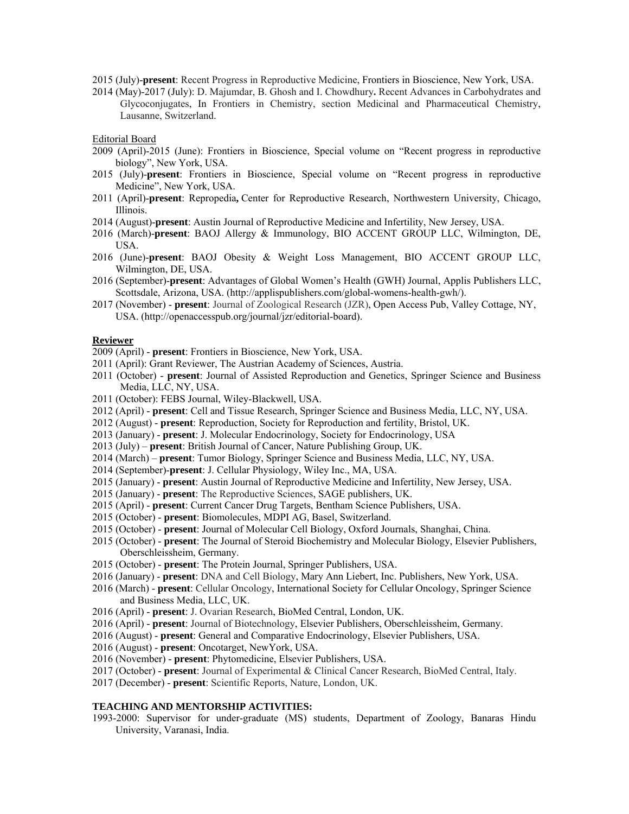2015 (July)-**present**: Recent Progress in Reproductive Medicine, Frontiers in Bioscience, New York, USA.

2014 (May)-2017 (July): D. Majumdar, B. Ghosh and I. Chowdhury**.** Recent Advances in Carbohydrates and Glycoconjugates, In Frontiers in Chemistry, section Medicinal and Pharmaceutical Chemistry, Lausanne, Switzerland.

Editorial Board

- 2009 (April)-2015 (June): Frontiers in Bioscience, Special volume on "Recent progress in reproductive biology", New York, USA.
- 2015 (July)-**present**: Frontiers in Bioscience, Special volume on "Recent progress in reproductive Medicine", New York, USA.
- 2011 (April)-**present**: Repropedia**,** Center for Reproductive Research, Northwestern University, Chicago, Illinois.
- 2014 (August)-**present**: Austin Journal of Reproductive Medicine and Infertility, New Jersey, USA.
- 2016 (March)-**present**: BAOJ Allergy & Immunology, BIO ACCENT GROUP LLC, Wilmington, DE, USA.
- 2016 (June)-**present**: BAOJ Obesity & Weight Loss Management, BIO ACCENT GROUP LLC, Wilmington, DE, USA.
- 2016 (September)-**present**: Advantages of Global Women's Health (GWH) Journal, Applis Publishers LLC, Scottsdale, Arizona, USA. (http://applispublishers.com/global-womens-health-gwh/).
- 2017 (November) **present**: Journal of Zoological Research (JZR), Open Access Pub, Valley Cottage, NY, USA. (http://openaccesspub.org/journal/jzr/editorial-board).

# **Reviewer**

- 2009 (April) **present**: Frontiers in Bioscience, New York, USA.
- 2011 (April): Grant Reviewer, The Austrian Academy of Sciences, Austria.
- 2011 (October) **present**: Journal of Assisted Reproduction and Genetics, Springer Science and Business Media, LLC, NY, USA.
- 2011 (October): FEBS Journal, Wiley-Blackwell, USA.
- 2012 (April) **present**: Cell and Tissue Research, Springer Science and Business Media, LLC, NY, USA.
- 2012 (August) **present**: Reproduction, Society for Reproduction and fertility, Bristol, UK.
- 2013 (January) **present**: J. Molecular Endocrinology, Society for Endocrinology, USA
- 2013 (July) **present**: British Journal of Cancer, Nature Publishing Group, UK.
- 2014 (March) **present**: Tumor Biology, Springer Science and Business Media, LLC, NY, USA.
- 2014 (September)-**present**: J. Cellular Physiology, Wiley Inc., MA, USA.
- 2015 (January) **present**: Austin Journal of Reproductive Medicine and Infertility, New Jersey, USA.
- 2015 (January) **present**: The Reproductive Sciences, SAGE publishers, UK.
- 2015 (April) **present**: Current Cancer Drug Targets, Bentham Science Publishers, USA.
- 2015 (October) **present**: Biomolecules, MDPI AG, Basel, Switzerland.
- 2015 (October) **present**: Journal of Molecular Cell Biology, Oxford Journals, Shanghai, China.
- 2015 (October) **present**: The Journal of Steroid Biochemistry and Molecular Biology, Elsevier Publishers, Oberschleissheim, Germany.
- 2015 (October) **present**: The Protein Journal, Springer Publishers, USA.
- 2016 (January) **present**: DNA and Cell Biology, Mary Ann Liebert, Inc. Publishers, New York, USA.
- 2016 (March) **present**: Cellular Oncology, International Society for Cellular Oncology, Springer Science and Business Media, LLC, UK.
- 2016 (April) **present**: J. Ovarian Research, BioMed Central, London, UK.
- 2016 (April) **present**: Journal of Biotechnology, Elsevier Publishers, Oberschleissheim, Germany.
- 2016 (August) **present**: General and Comparative Endocrinology, Elsevier Publishers, USA.
- 2016 (August) **present**: Oncotarget, NewYork, USA.
- 2016 (November) **present**: Phytomedicine, Elsevier Publishers, USA.
- 2017 (October) **present**: Journal of Experimental & Clinical Cancer Research, BioMed Central, Italy.
- 2017 (December) **present**: Scientific Reports, Nature, London, UK.

# **TEACHING AND MENTORSHIP ACTIVITIES:**

1993-2000: Supervisor for under-graduate (MS) students, Department of Zoology, Banaras Hindu University, Varanasi, India.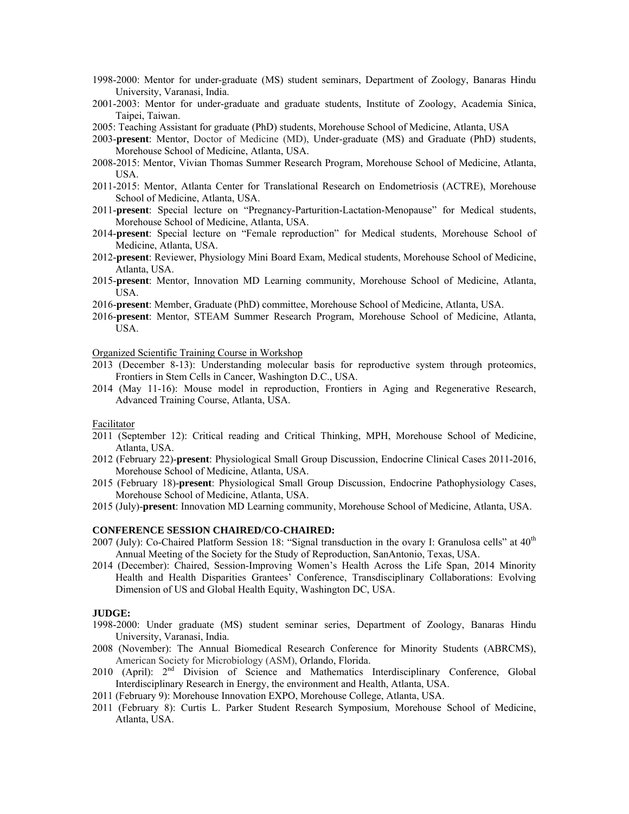- 1998-2000: Mentor for under-graduate (MS) student seminars, Department of Zoology, Banaras Hindu University, Varanasi, India.
- 2001-2003: Mentor for under-graduate and graduate students, Institute of Zoology, Academia Sinica, Taipei, Taiwan.
- 2005: Teaching Assistant for graduate (PhD) students, Morehouse School of Medicine, Atlanta, USA
- 2003-**present**: Mentor, Doctor of Medicine (MD), Under-graduate (MS) and Graduate (PhD) students, Morehouse School of Medicine, Atlanta, USA.
- 2008-2015: Mentor, Vivian Thomas Summer Research Program, Morehouse School of Medicine, Atlanta, USA.
- 2011-2015: Mentor, Atlanta Center for Translational Research on Endometriosis (ACTRE), Morehouse School of Medicine, Atlanta, USA.
- 2011-**present**: Special lecture on "Pregnancy-Parturition-Lactation-Menopause" for Medical students, Morehouse School of Medicine, Atlanta, USA.
- 2014-**present**: Special lecture on "Female reproduction" for Medical students, Morehouse School of Medicine, Atlanta, USA.
- 2012-**present**: Reviewer, Physiology Mini Board Exam, Medical students, Morehouse School of Medicine, Atlanta, USA.
- 2015-**present**: Mentor, Innovation MD Learning community, Morehouse School of Medicine, Atlanta, USA.
- 2016-**present**: Member, Graduate (PhD) committee, Morehouse School of Medicine, Atlanta, USA.
- 2016-**present**: Mentor, STEAM Summer Research Program, Morehouse School of Medicine, Atlanta, USA.

Organized Scientific Training Course in Workshop

- 2013 (December 8-13): Understanding molecular basis for reproductive system through proteomics, Frontiers in Stem Cells in Cancer, Washington D.C., USA.
- 2014 (May 11-16): Mouse model in reproduction, Frontiers in Aging and Regenerative Research, Advanced Training Course, Atlanta, USA.

# Facilitator

- 2011 (September 12): Critical reading and Critical Thinking, MPH, Morehouse School of Medicine, Atlanta, USA.
- 2012 (February 22)-**present**: Physiological Small Group Discussion, Endocrine Clinical Cases 2011-2016, Morehouse School of Medicine, Atlanta, USA.
- 2015 (February 18)-**present**: Physiological Small Group Discussion, Endocrine Pathophysiology Cases, Morehouse School of Medicine, Atlanta, USA.
- 2015 (July)-**present**: Innovation MD Learning community, Morehouse School of Medicine, Atlanta, USA.

## **CONFERENCE SESSION CHAIRED/CO-CHAIRED:**

- 2007 (July): Co-Chaired Platform Session 18: "Signal transduction in the ovary I: Granulosa cells" at 40<sup>th</sup> Annual Meeting of the Society for the Study of Reproduction, SanAntonio, Texas, USA.
- 2014 (December): Chaired, Session-Improving Women's Health Across the Life Span, 2014 Minority Health and Health Disparities Grantees' Conference, Transdisciplinary Collaborations: Evolving Dimension of US and Global Health Equity, Washington DC, USA.

#### **JUDGE:**

- 1998-2000: Under graduate (MS) student seminar series, Department of Zoology, Banaras Hindu University, Varanasi, India.
- 2008 (November): The Annual Biomedical Research Conference for Minority Students (ABRCMS), American Society for Microbiology (ASM), Orlando, Florida.
- 2010 (April): 2<sup>nd</sup> Division of Science and Mathematics Interdisciplinary Conference, Global Interdisciplinary Research in Energy, the environment and Health, Atlanta, USA.
- 2011 (February 9): Morehouse Innovation EXPO, Morehouse College, Atlanta, USA.
- 2011 (February 8): Curtis L. Parker Student Research Symposium, Morehouse School of Medicine, Atlanta, USA.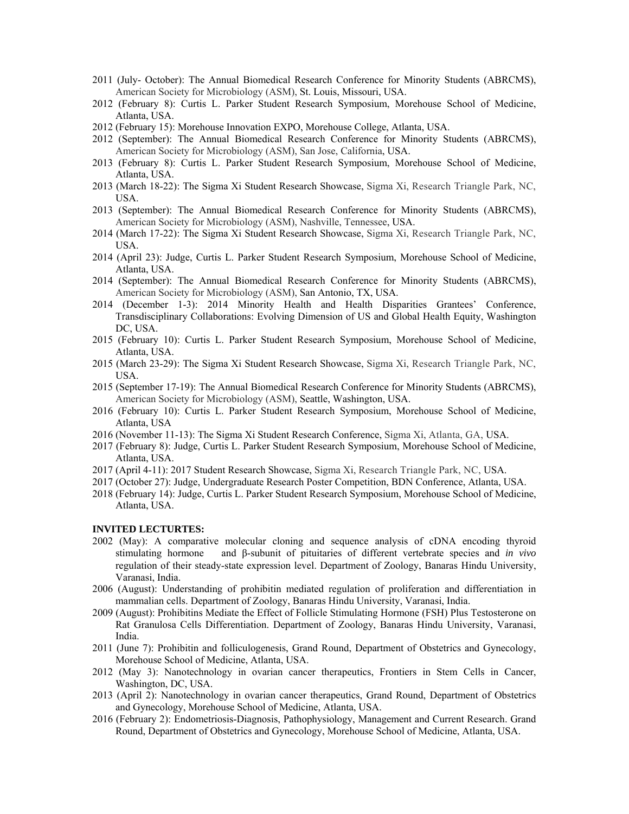- 2011 (July- October): The Annual Biomedical Research Conference for Minority Students (ABRCMS), American Society for Microbiology (ASM), St. Louis, Missouri, USA.
- 2012 (February 8): Curtis L. Parker Student Research Symposium, Morehouse School of Medicine, Atlanta, USA.
- 2012 (February 15): Morehouse Innovation EXPO, Morehouse College, Atlanta, USA.
- 2012 (September): The Annual Biomedical Research Conference for Minority Students (ABRCMS), American Society for Microbiology (ASM), San Jose, California, USA.
- 2013 (February 8): Curtis L. Parker Student Research Symposium, Morehouse School of Medicine, Atlanta, USA.
- 2013 (March 18-22): The Sigma Xi Student Research Showcase, Sigma Xi, Research Triangle Park, NC, USA.
- 2013 (September): The Annual Biomedical Research Conference for Minority Students (ABRCMS), American Society for Microbiology (ASM), Nashville, Tennessee, USA.
- 2014 (March 17-22): The Sigma Xi Student Research Showcase, Sigma Xi, Research Triangle Park, NC, USA.
- 2014 (April 23): Judge, Curtis L. Parker Student Research Symposium, Morehouse School of Medicine, Atlanta, USA.
- 2014 (September): The Annual Biomedical Research Conference for Minority Students (ABRCMS), American Society for Microbiology (ASM), San Antonio, TX, USA.
- 2014 (December 1-3): 2014 Minority Health and Health Disparities Grantees' Conference, Transdisciplinary Collaborations: Evolving Dimension of US and Global Health Equity, Washington DC, USA.
- 2015 (February 10): Curtis L. Parker Student Research Symposium, Morehouse School of Medicine, Atlanta, USA.
- 2015 (March 23-29): The Sigma Xi Student Research Showcase, Sigma Xi, Research Triangle Park, NC, USA.
- 2015 (September 17-19): The Annual Biomedical Research Conference for Minority Students (ABRCMS), American Society for Microbiology (ASM), Seattle, Washington, USA.
- 2016 (February 10): Curtis L. Parker Student Research Symposium, Morehouse School of Medicine, Atlanta, USA
- 2016 (November 11-13): The Sigma Xi Student Research Conference, Sigma Xi, Atlanta, GA, USA.
- 2017 (February 8): Judge, Curtis L. Parker Student Research Symposium, Morehouse School of Medicine, Atlanta, USA.
- 2017 (April 4-11): 2017 Student Research Showcase, Sigma Xi, Research Triangle Park, NC, USA.
- 2017 (October 27): Judge, Undergraduate Research Poster Competition, BDN Conference, Atlanta, USA.
- 2018 (February 14): Judge, Curtis L. Parker Student Research Symposium, Morehouse School of Medicine, Atlanta, USA.

#### **INVITED LECTURTES:**

- 2002 (May): A comparative molecular cloning and sequence analysis of cDNA encoding thyroid stimulating hormone and β-subunit of pituitaries of different vertebrate species and *in vivo* regulation of their steady-state expression level. Department of Zoology, Banaras Hindu University, Varanasi, India.
- 2006 (August): Understanding of prohibitin mediated regulation of proliferation and differentiation in mammalian cells. Department of Zoology, Banaras Hindu University, Varanasi, India.
- 2009 (August): Prohibitins Mediate the Effect of Follicle Stimulating Hormone (FSH) Plus Testosterone on Rat Granulosa Cells Differentiation. Department of Zoology, Banaras Hindu University, Varanasi, India.
- 2011 (June 7): Prohibitin and folliculogenesis, Grand Round, Department of Obstetrics and Gynecology, Morehouse School of Medicine, Atlanta, USA.
- 2012 (May 3): Nanotechnology in ovarian cancer therapeutics, Frontiers in Stem Cells in Cancer, Washington, DC, USA.
- 2013 (April 2): Nanotechnology in ovarian cancer therapeutics, Grand Round, Department of Obstetrics and Gynecology, Morehouse School of Medicine, Atlanta, USA.
- 2016 (February 2): Endometriosis-Diagnosis, Pathophysiology, Management and Current Research. Grand Round, Department of Obstetrics and Gynecology, Morehouse School of Medicine, Atlanta, USA.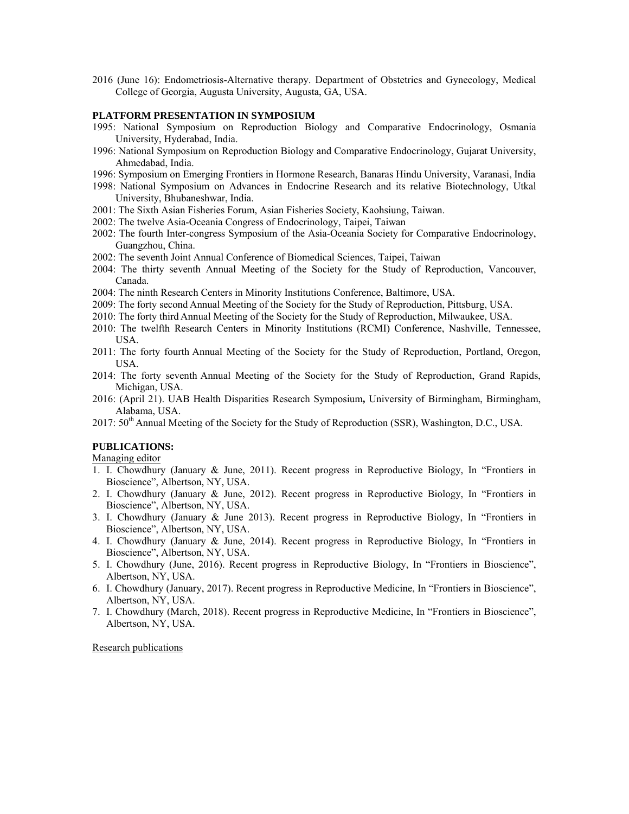2016 (June 16): Endometriosis-Alternative therapy. Department of Obstetrics and Gynecology, Medical College of Georgia, Augusta University, Augusta, GA, USA.

# **PLATFORM PRESENTATION IN SYMPOSIUM**

- 1995: National Symposium on Reproduction Biology and Comparative Endocrinology, Osmania University, Hyderabad, India.
- 1996: National Symposium on Reproduction Biology and Comparative Endocrinology, Gujarat University, Ahmedabad, India.
- 1996: Symposium on Emerging Frontiers in Hormone Research, Banaras Hindu University, Varanasi, India
- 1998: National Symposium on Advances in Endocrine Research and its relative Biotechnology, Utkal University, Bhubaneshwar, India.
- 2001: The Sixth Asian Fisheries Forum, Asian Fisheries Society, Kaohsiung, Taiwan.
- 2002: The twelve Asia-Oceania Congress of Endocrinology, Taipei, Taiwan
- 2002: The fourth Inter-congress Symposium of the Asia-Oceania Society for Comparative Endocrinology, Guangzhou, China.
- 2002: The seventh Joint Annual Conference of Biomedical Sciences, Taipei, Taiwan
- 2004: The thirty seventh Annual Meeting of the Society for the Study of Reproduction, Vancouver, Canada.
- 2004: The ninth Research Centers in Minority Institutions Conference, Baltimore, USA.
- 2009: The forty second Annual Meeting of the Society for the Study of Reproduction, Pittsburg, USA.
- 2010: The forty third Annual Meeting of the Society for the Study of Reproduction, Milwaukee, USA.
- 2010: The twelfth Research Centers in Minority Institutions (RCMI) Conference, Nashville, Tennessee, USA.
- 2011: The forty fourth Annual Meeting of the Society for the Study of Reproduction, Portland, Oregon, USA.
- 2014: The forty seventh Annual Meeting of the Society for the Study of Reproduction, Grand Rapids, Michigan, USA.
- 2016: (April 21). UAB Health Disparities Research Symposium**,** University of Birmingham, Birmingham, Alabama, USA.
- 2017:  $50<sup>th</sup>$  Annual Meeting of the Society for the Study of Reproduction (SSR), Washington, D.C., USA.

# **PUBLICATIONS:**

Managing editor

- 1. I. Chowdhury (January & June, 2011). Recent progress in Reproductive Biology, In "Frontiers in Bioscience", Albertson, NY, USA.
- 2. I. Chowdhury (January & June, 2012). Recent progress in Reproductive Biology, In "Frontiers in Bioscience", Albertson, NY, USA.
- 3. I. Chowdhury (January & June 2013). Recent progress in Reproductive Biology, In "Frontiers in Bioscience", Albertson, NY, USA.
- 4. I. Chowdhury (January & June, 2014). Recent progress in Reproductive Biology, In "Frontiers in Bioscience", Albertson, NY, USA.
- 5. I. Chowdhury (June, 2016). Recent progress in Reproductive Biology, In "Frontiers in Bioscience", Albertson, NY, USA.
- 6. I. Chowdhury (January, 2017). Recent progress in Reproductive Medicine, In "Frontiers in Bioscience", Albertson, NY, USA.
- 7. I. Chowdhury (March, 2018). Recent progress in Reproductive Medicine, In "Frontiers in Bioscience", Albertson, NY, USA.

Research publications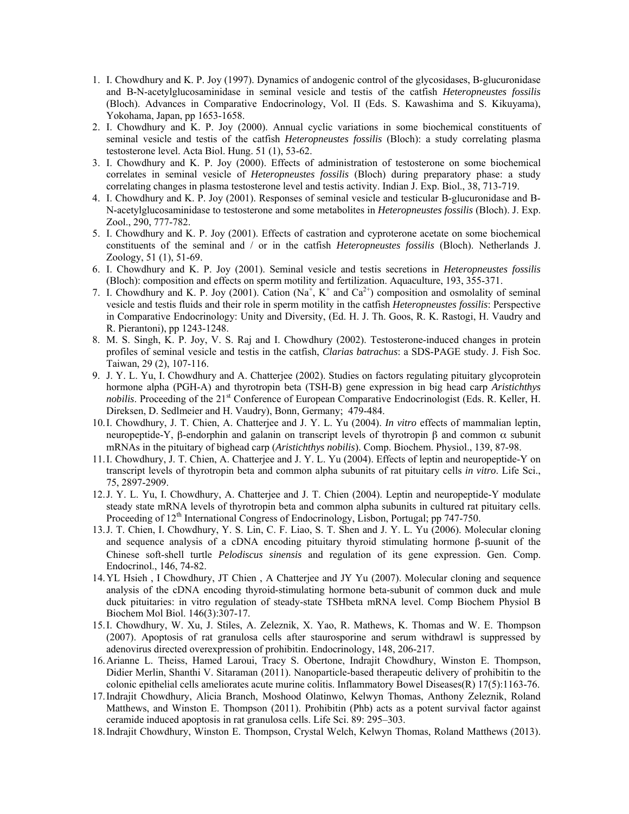- 1. I. Chowdhury and K. P. Joy (1997). Dynamics of andogenic control of the glycosidases, B-glucuronidase and B-N-acetylglucosaminidase in seminal vesicle and testis of the catfish *Heteropneustes fossilis* (Bloch). Advances in Comparative Endocrinology, Vol. II (Eds. S. Kawashima and S. Kikuyama), Yokohama, Japan, pp 1653-1658.
- 2. I. Chowdhury and K. P. Joy (2000). Annual cyclic variations in some biochemical constituents of seminal vesicle and testis of the catfish *Heteropneustes fossilis* (Bloch): a study correlating plasma testosterone level. Acta Biol. Hung. 51 (1), 53-62.
- 3. I. Chowdhury and K. P. Joy (2000). Effects of administration of testosterone on some biochemical correlates in seminal vesicle of *Heteropneustes fossilis* (Bloch) during preparatory phase: a study correlating changes in plasma testosterone level and testis activity. Indian J. Exp. Biol., 38, 713-719.
- 4. I. Chowdhury and K. P. Joy (2001). Responses of seminal vesicle and testicular B-glucuronidase and B-N-acetylglucosaminidase to testosterone and some metabolites in *Heteropneustes fossilis* (Bloch). J. Exp. Zool., 290, 777-782.
- 5. I. Chowdhury and K. P. Joy (2001). Effects of castration and cyproterone acetate on some biochemical constituents of the seminal and / or in the catfish *Heteropneustes fossilis* (Bloch). Netherlands J. Zoology, 51 (1), 51-69.
- 6. I. Chowdhury and K. P. Joy (2001). Seminal vesicle and testis secretions in *Heteropneustes fossilis* (Bloch): composition and effects on sperm motility and fertilization. Aquaculture, 193, 355-371.
- 7. I. Chowdhury and K. P. Joy (2001). Cation  $(Na^+, K^+)$  and  $Ca^{2+}$ ) composition and osmolality of seminal vesicle and testis fluids and their role in sperm motility in the catfish *Heteropneustes fossilis*: Perspective in Comparative Endocrinology: Unity and Diversity, (Ed. H. J. Th. Goos, R. K. Rastogi, H. Vaudry and R. Pierantoni), pp 1243-1248.
- 8. M. S. Singh, K. P. Joy, V. S. Raj and I. Chowdhury (2002). Testosterone-induced changes in protein profiles of seminal vesicle and testis in the catfish, *Clarias batrachus*: a SDS-PAGE study. J. Fish Soc. Taiwan, 29 (2), 107-116.
- 9. J. Y. L. Yu, I. Chowdhury and A. Chatterjee (2002). Studies on factors regulating pituitary glycoprotein hormone alpha (PGH-A) and thyrotropin beta (TSH-B) gene expression in big head carp *Aristichthys nobilis*. Proceeding of the 21<sup>st</sup> Conference of European Comparative Endocrinologist (Eds. R. Keller, H. Direksen, D. Sedlmeier and H. Vaudry), Bonn, Germany; 479-484.
- 10.I. Chowdhury, J. T. Chien, A. Chatterjee and J. Y. L. Yu (2004). *In vitro* effects of mammalian leptin, neuropeptide-Y, β-endorphin and galanin on transcript levels of thyrotropin β and common  $\alpha$  subunit mRNAs in the pituitary of bighead carp (*Aristichthys nobilis*). Comp. Biochem. Physiol., 139, 87-98.
- 11.I. Chowdhury, J. T. Chien, A. Chatterjee and J. Y. L. Yu (2004). Effects of leptin and neuropeptide-Y on transcript levels of thyrotropin beta and common alpha subunits of rat pituitary cells *in vitro*. Life Sci., 75, 2897-2909.
- 12.J. Y. L. Yu, I. Chowdhury, A. Chatterjee and J. T. Chien (2004). Leptin and neuropeptide-Y modulate steady state mRNA levels of thyrotropin beta and common alpha subunits in cultured rat pituitary cells. Proceeding of 12<sup>th</sup> International Congress of Endocrinology, Lisbon, Portugal; pp 747-750.
- 13.J. T. Chien, I. Chowdhury, Y. S. Lin, C. F. Liao, S. T. Shen and J. Y. L. Yu (2006). Molecular cloning and sequence analysis of a cDNA encoding pituitary thyroid stimulating hormone β-suunit of the Chinese soft-shell turtle *Pelodiscus sinensis* and regulation of its gene expression. Gen. Comp. Endocrinol., 146, 74-82.
- 14.YL Hsieh , I Chowdhury, JT Chien , A Chatterjee and JY Yu (2007). Molecular cloning and sequence analysis of the cDNA encoding thyroid-stimulating hormone beta-subunit of common duck and mule duck pituitaries: in vitro regulation of steady-state TSHbeta mRNA level. Comp Biochem Physiol B Biochem Mol Biol. 146(3):307-17.
- 15.I. Chowdhury, W. Xu, J. Stiles, A. Zeleznik, X. Yao, R. Mathews, K. Thomas and W. E. Thompson (2007). Apoptosis of rat granulosa cells after staurosporine and serum withdrawl is suppressed by adenovirus directed overexpression of prohibitin. Endocrinology, 148, 206-217.
- 16.Arianne L. Theiss, Hamed Laroui, Tracy S. Obertone, Indrajit Chowdhury, Winston E. Thompson, Didier Merlin, Shanthi V. Sitaraman (2011). Nanoparticle-based therapeutic delivery of prohibitin to the colonic epithelial cells ameliorates acute murine colitis. Inflammatory Bowel Diseases(R) 17(5):1163-76.
- 17.Indrajit Chowdhury, Alicia Branch, Moshood Olatinwo, Kelwyn Thomas, Anthony Zeleznik, Roland Matthews, and Winston E. Thompson (2011). Prohibitin (Phb) acts as a potent survival factor against ceramide induced apoptosis in rat granulosa cells. Life Sci. 89: 295–303.
- 18.Indrajit Chowdhury, Winston E. Thompson, Crystal Welch, Kelwyn Thomas, Roland Matthews (2013).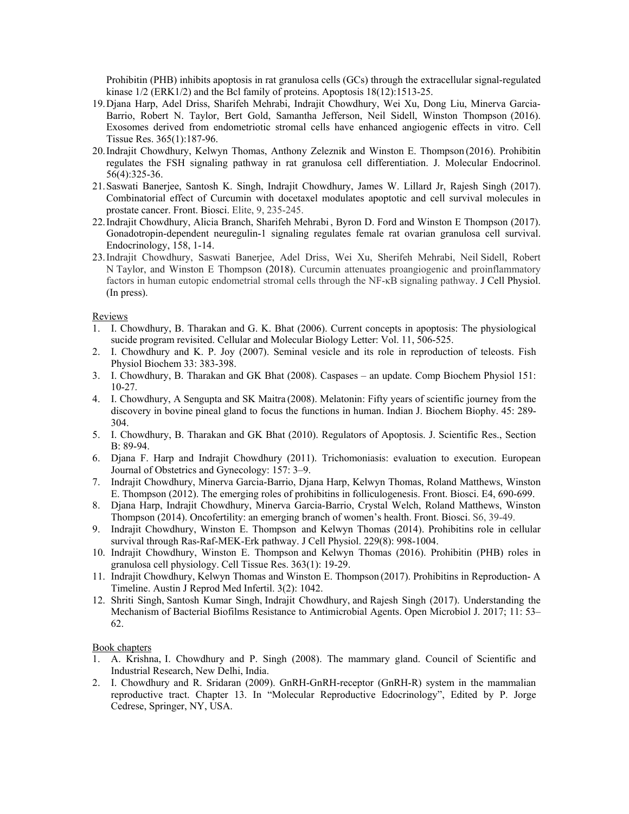Prohibitin (PHB) inhibits apoptosis in rat granulosa cells (GCs) through the extracellular signal-regulated kinase 1/2 (ERK1/2) and the Bcl family of proteins. Apoptosis 18(12):1513-25.

- 19.Djana Harp, Adel Driss, Sharifeh Mehrabi, Indrajit Chowdhury, Wei Xu, Dong Liu, Minerva Garcia-Barrio, Robert N. Taylor, Bert Gold, Samantha Jefferson, Neil Sidell, Winston Thompson (2016). Exosomes derived from endometriotic stromal cells have enhanced angiogenic effects in vitro. Cell Tissue Res. 365(1):187-96.
- 20.Indrajit Chowdhury, Kelwyn Thomas, Anthony Zeleznik and Winston E. Thompson (2016). Prohibitin regulates the FSH signaling pathway in rat granulosa cell differentiation. J. Molecular Endocrinol. 56(4):325-36.
- 21.Saswati Banerjee, Santosh K. Singh, Indrajit Chowdhury, James W. Lillard Jr, Rajesh Singh (2017). Combinatorial effect of Curcumin with docetaxel modulates apoptotic and cell survival molecules in prostate cancer. Front. Biosci. Elite, 9, 235-245.
- 22.Indrajit Chowdhury, Alicia Branch, Sharifeh Mehrabi , Byron D. Ford and Winston E Thompson (2017). Gonadotropin-dependent neuregulin-1 signaling regulates female rat ovarian granulosa cell survival. Endocrinology, 158, 1-14.
- 23.Indrajit Chowdhury, Saswati Banerjee, Adel Driss, Wei Xu, Sherifeh Mehrabi, Neil Sidell, Robert N Taylor, and Winston E Thompson (2018). Curcumin attenuates proangiogenic and proinflammatory factors in human eutopic endometrial stromal cells through the NF-κB signaling pathway. J Cell Physiol. (In press).

# Reviews

- 1. I. Chowdhury, B. Tharakan and G. K. Bhat (2006). Current concepts in apoptosis: The physiological sucide program revisited. Cellular and Molecular Biology Letter: Vol. 11, 506-525.
- 2. I. Chowdhury and K. P. Joy (2007). Seminal vesicle and its role in reproduction of teleosts. Fish Physiol Biochem 33: 383-398.
- 3. I. Chowdhury, B. Tharakan and GK Bhat (2008). Caspases an update. Comp Biochem Physiol 151: 10-27.
- 4. I. Chowdhury, A Sengupta and SK Maitra (2008). Melatonin: Fifty years of scientific journey from the discovery in bovine pineal gland to focus the functions in human. Indian J. Biochem Biophy. 45: 289- 304.
- 5. I. Chowdhury, B. Tharakan and GK Bhat (2010). Regulators of Apoptosis. J. Scientific Res., Section B: 89-94.
- 6. Djana F. Harp and Indrajit Chowdhury (2011). Trichomoniasis: evaluation to execution. European Journal of Obstetrics and Gynecology: 157: 3–9.
- 7. Indrajit Chowdhury, Minerva Garcia-Barrio, Djana Harp, Kelwyn Thomas, Roland Matthews, Winston E. Thompson (2012). The emerging roles of prohibitins in folliculogenesis. Front. Biosci. E4, 690-699.
- 8. Djana Harp, Indrajit Chowdhury, Minerva Garcia-Barrio, Crystal Welch, Roland Matthews, Winston Thompson (2014). Oncofertility: an emerging branch of women's health. Front. Biosci. S6, 39-49.
- 9. Indrajit Chowdhury, Winston E. Thompson and Kelwyn Thomas (2014). Prohibitins role in cellular survival through Ras-Raf-MEK-Erk pathway. J Cell Physiol. 229(8): 998-1004.
- 10. Indrajit Chowdhury, Winston E. Thompson and Kelwyn Thomas (2016). Prohibitin (PHB) roles in granulosa cell physiology. Cell Tissue Res. 363(1): 19-29.
- 11. Indrajit Chowdhury, Kelwyn Thomas and Winston E. Thompson (2017). Prohibitins in Reproduction- A Timeline. Austin J Reprod Med Infertil. 3(2): 1042.
- 12. Shriti Singh, Santosh Kumar Singh, Indrajit Chowdhury, and Rajesh Singh (2017). Understanding the Mechanism of Bacterial Biofilms Resistance to Antimicrobial Agents. Open Microbiol J. 2017; 11: 53– 62.

# Book chapters

- 1. A. Krishna, I. Chowdhury and P. Singh (2008). The mammary gland. Council of Scientific and Industrial Research, New Delhi, India.
- 2. I. Chowdhury and R. Sridaran (2009). GnRH-GnRH-receptor (GnRH-R) system in the mammalian reproductive tract. Chapter 13. In "Molecular Reproductive Edocrinology", Edited by P. Jorge Cedrese, Springer, NY, USA.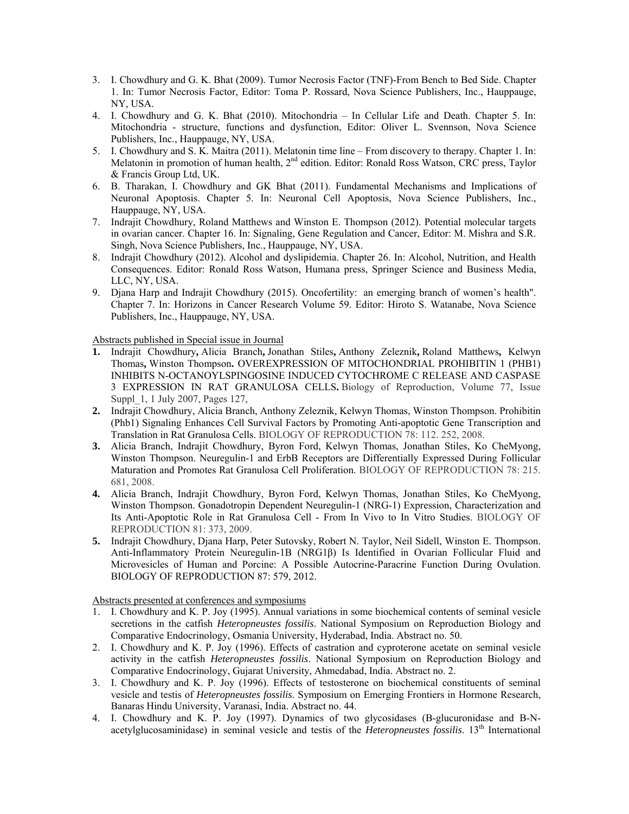- 3. I. Chowdhury and G. K. Bhat (2009). Tumor Necrosis Factor (TNF)-From Bench to Bed Side. Chapter 1. In: Tumor Necrosis Factor, Editor: Toma P. Rossard, Nova Science Publishers, Inc., Hauppauge, NY, USA.
- 4. I. Chowdhury and G. K. Bhat (2010). Mitochondria In Cellular Life and Death. Chapter 5. In: Mitochondria - structure, functions and dysfunction, Editor: Oliver L. Svennson, Nova Science Publishers, Inc., Hauppauge, NY, USA.
- 5. I. Chowdhury and S. K. Maitra (2011). Melatonin time line From discovery to therapy. Chapter 1. In: Melatonin in promotion of human health, 2<sup>nd</sup> edition. Editor: Ronald Ross Watson, CRC press, Taylor & Francis Group Ltd, UK.
- 6. B. Tharakan, I. Chowdhury and GK Bhat (2011). Fundamental Mechanisms and Implications of Neuronal Apoptosis. Chapter 5. In: Neuronal Cell Apoptosis, Nova Science Publishers, Inc., Hauppauge, NY, USA.
- 7. Indrajit Chowdhury, Roland Matthews and Winston E. Thompson (2012). Potential molecular targets in ovarian cancer. Chapter 16. In: Signaling, Gene Regulation and Cancer, Editor: M. Mishra and S.R. Singh, Nova Science Publishers, Inc., Hauppauge, NY, USA.
- 8. Indrajit Chowdhury (2012). Alcohol and dyslipidemia. Chapter 26. In: Alcohol, Nutrition, and Health Consequences. Editor: Ronald Ross Watson, Humana press, Springer Science and Business Media, LLC, NY, USA.
- 9. Djana Harp and Indrajit Chowdhury (2015). Oncofertility: an emerging branch of women's health". Chapter 7. In: Horizons in Cancer Research Volume 59. Editor: Hiroto S. Watanabe, Nova Science Publishers, Inc., Hauppauge, NY, USA.

Abstracts published in Special issue in Journal

- **1.** Indrajit Chowdhury**,** Alicia Branch**,** Jonathan Stiles**,** Anthony Zeleznik**,** Roland Matthews**,** Kelwyn Thomas**,** Winston Thompson**.** OVEREXPRESSION OF MITOCHONDRIAL PROHIBITIN 1 (PHB1) INHIBITS N-OCTANOYLSPINGOSINE INDUCED CYTOCHROME C RELEASE AND CASPASE 3 EXPRESSION IN RAT GRANULOSA CELLS**.** Biology of Reproduction, Volume 77, Issue Suppl\_1, 1 July 2007, Pages 127,
- **2.** Indrajit Chowdhury, Alicia Branch, Anthony Zeleznik, Kelwyn Thomas, Winston Thompson. Prohibitin (Phb1) Signaling Enhances Cell Survival Factors by Promoting Anti-apoptotic Gene Transcription and Translation in Rat Granulosa Cells. BIOLOGY OF REPRODUCTION 78: 112. 252, 2008.
- **3.** Alicia Branch, Indrajit Chowdhury, Byron Ford, Kelwyn Thomas, Jonathan Stiles, Ko CheMyong, Winston Thompson. Neuregulin-1 and ErbB Receptors are Differentially Expressed During Follicular Maturation and Promotes Rat Granulosa Cell Proliferation. BIOLOGY OF REPRODUCTION 78: 215. 681, 2008.
- **4.** Alicia Branch, Indrajit Chowdhury, Byron Ford, Kelwyn Thomas, Jonathan Stiles, Ko CheMyong, Winston Thompson. Gonadotropin Dependent Neuregulin-1 (NRG-1) Expression, Characterization and Its Anti-Apoptotic Role in Rat Granulosa Cell - From In Vivo to In Vitro Studies. BIOLOGY OF REPRODUCTION 81: 373, 2009.
- **5.** Indrajit Chowdhury, Djana Harp, Peter Sutovsky, Robert N. Taylor, Neil Sidell, Winston E. Thompson. Anti-Inflammatory Protein Neuregulin-1B (NRG1β) Is Identified in Ovarian Follicular Fluid and Microvesicles of Human and Porcine: A Possible Autocrine-Paracrine Function During Ovulation. BIOLOGY OF REPRODUCTION 87: 579, 2012.

Abstracts presented at conferences and symposiums

- 1. I. Chowdhury and K. P. Joy (1995). Annual variations in some biochemical contents of seminal vesicle secretions in the catfish *Heteropneustes fossilis*. National Symposium on Reproduction Biology and Comparative Endocrinology, Osmania University, Hyderabad, India. Abstract no. 50.
- 2. I. Chowdhury and K. P. Joy (1996). Effects of castration and cyproterone acetate on seminal vesicle activity in the catfish *Heteropneustes fossilis*. National Symposium on Reproduction Biology and Comparative Endocrinology, Gujarat University, Ahmedabad, India. Abstract no. 2.
- 3. I. Chowdhury and K. P. Joy (1996). Effects of testosterone on biochemical constituents of seminal vesicle and testis of *Heteropneustes fossilis*. Symposium on Emerging Frontiers in Hormone Research, Banaras Hindu University, Varanasi, India. Abstract no. 44.
- 4. I. Chowdhury and K. P. Joy (1997). Dynamics of two glycosidases (B-glucuronidase and B-Nacetylglucosaminidase) in seminal vesicle and testis of the *Heteropneustes fossilis*. 13<sup>th</sup> International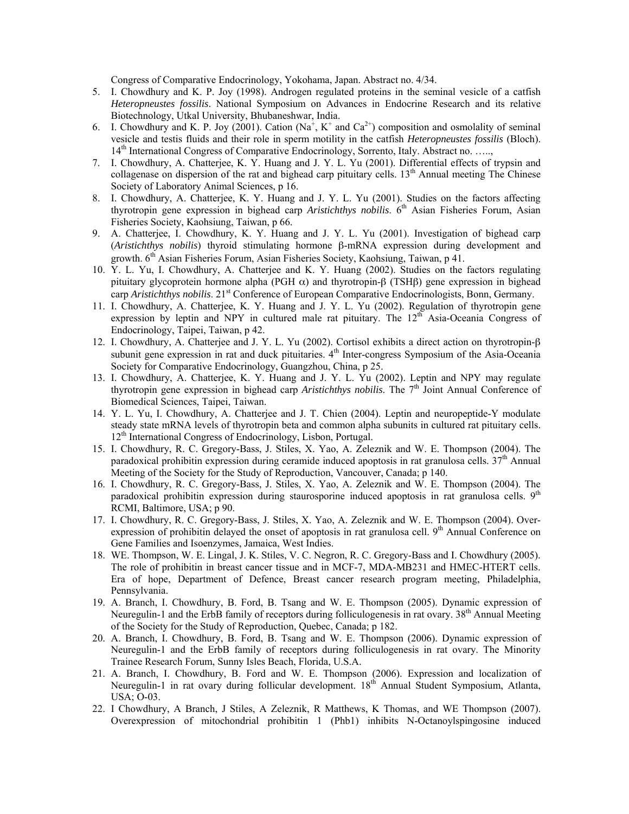Congress of Comparative Endocrinology, Yokohama, Japan. Abstract no. 4/34.

- 5. I. Chowdhury and K. P. Joy (1998). Androgen regulated proteins in the seminal vesicle of a catfish *Heteropneustes fossilis*. National Symposium on Advances in Endocrine Research and its relative Biotechnology, Utkal University, Bhubaneshwar, India.
- 6. I. Chowdhury and K. P. Joy (2001). Cation ( $Na^+$ ,  $K^+$  and  $Ca^{2+}$ ) composition and osmolality of seminal vesicle and testis fluids and their role in sperm motility in the catfish *Heteropneustes fossilis* (Bloch). 14th International Congress of Comparative Endocrinology, Sorrento, Italy. Abstract no. …..,
- 7. I. Chowdhury, A. Chatterjee, K. Y. Huang and J. Y. L. Yu (2001). Differential effects of trypsin and collagenase on dispersion of the rat and bighead carp pituitary cells.  $13<sup>th</sup>$  Annual meeting The Chinese Society of Laboratory Animal Sciences, p 16.
- 8. I. Chowdhury, A. Chatterjee, K. Y. Huang and J. Y. L. Yu (2001). Studies on the factors affecting thyrotropin gene expression in bighead carp *Aristichthys nobilis*. 6<sup>th</sup> Asian Fisheries Forum, Asian Fisheries Society, Kaohsiung, Taiwan, p 66.
- 9. A. Chatterjee, I. Chowdhury, K. Y. Huang and J. Y. L. Yu (2001). Investigation of bighead carp (*Aristichthys nobilis*) thyroid stimulating hormone β-mRNA expression during development and growth. 6<sup>th</sup> Asian Fisheries Forum, Asian Fisheries Society, Kaohsiung, Taiwan, p 41.
- 10. Y. L. Yu, I. Chowdhury, A. Chatterjee and K. Y. Huang (2002). Studies on the factors regulating pituitary glycoprotein hormone alpha (PGH  $\alpha$ ) and thyrotropin-β (TSHβ) gene expression in bighead carp *Aristichthys nobilis*. 21<sup>st</sup> Conference of European Comparative Endocrinologists, Bonn, Germany.
- 11. I. Chowdhury, A. Chatterjee, K. Y. Huang and J. Y. L. Yu (2002). Regulation of thyrotropin gene expression by leptin and NPY in cultured male rat pituitary. The  $12<sup>th</sup>$  Asia-Oceania Congress of Endocrinology, Taipei, Taiwan, p 42.
- 12. I. Chowdhury, A. Chatterjee and J. Y. L. Yu (2002). Cortisol exhibits a direct action on thyrotropin-β subunit gene expression in rat and duck pituitaries.  $4<sup>th</sup>$  Inter-congress Symposium of the Asia-Oceania Society for Comparative Endocrinology, Guangzhou, China, p 25.
- 13. I. Chowdhury, A. Chatterjee, K. Y. Huang and J. Y. L. Yu (2002). Leptin and NPY may regulate thyrotropin gene expression in bighead carp *Aristichthys nobilis*. The 7<sup>th</sup> Joint Annual Conference of Biomedical Sciences, Taipei, Taiwan.
- 14. Y. L. Yu, I. Chowdhury, A. Chatterjee and J. T. Chien (2004). Leptin and neuropeptide-Y modulate steady state mRNA levels of thyrotropin beta and common alpha subunits in cultured rat pituitary cells. 12<sup>th</sup> International Congress of Endocrinology, Lisbon, Portugal.
- 15. I. Chowdhury, R. C. Gregory-Bass, J. Stiles, X. Yao, A. Zeleznik and W. E. Thompson (2004). The paradoxical prohibitin expression during ceramide induced apoptosis in rat granulosa cells. 37<sup>th</sup> Annual Meeting of the Society for the Study of Reproduction, Vancouver, Canada; p 140.
- 16. I. Chowdhury, R. C. Gregory-Bass, J. Stiles, X. Yao, A. Zeleznik and W. E. Thompson (2004). The paradoxical prohibitin expression during staurosporine induced apoptosis in rat granulosa cells.  $9<sup>th</sup>$ RCMI, Baltimore, USA; p 90.
- 17. I. Chowdhury, R. C. Gregory-Bass, J. Stiles, X. Yao, A. Zeleznik and W. E. Thompson (2004). Overexpression of prohibitin delayed the onset of apoptosis in rat granulosa cell.  $9<sup>th</sup>$  Annual Conference on Gene Families and Isoenzymes, Jamaica, West Indies.
- 18. WE. Thompson, W. E. Lingal, J. K. Stiles, V. C. Negron, R. C. Gregory-Bass and I. Chowdhury (2005). The role of prohibitin in breast cancer tissue and in MCF-7, MDA-MB231 and HMEC-HTERT cells. Era of hope, Department of Defence, Breast cancer research program meeting, Philadelphia, Pennsylvania.
- 19. A. Branch, I. Chowdhury, B. Ford, B. Tsang and W. E. Thompson (2005). Dynamic expression of Neuregulin-1 and the ErbB family of receptors during folliculogenesis in rat ovary.  $38<sup>th</sup>$  Annual Meeting of the Society for the Study of Reproduction, Quebec, Canada; p 182.
- 20. A. Branch, I. Chowdhury, B. Ford, B. Tsang and W. E. Thompson (2006). Dynamic expression of Neuregulin-1 and the ErbB family of receptors during folliculogenesis in rat ovary. The Minority Trainee Research Forum, Sunny Isles Beach, Florida, U.S.A.
- 21. A. Branch, I. Chowdhury, B. Ford and W. E. Thompson (2006). Expression and localization of Neuregulin-1 in rat ovary during follicular development. 18th Annual Student Symposium, Atlanta, USA; O-03.
- 22. I Chowdhury, A Branch, J Stiles, A Zeleznik, R Matthews, K Thomas, and WE Thompson (2007). Overexpression of mitochondrial prohibitin 1 (Phb1) inhibits N-Octanoylspingosine induced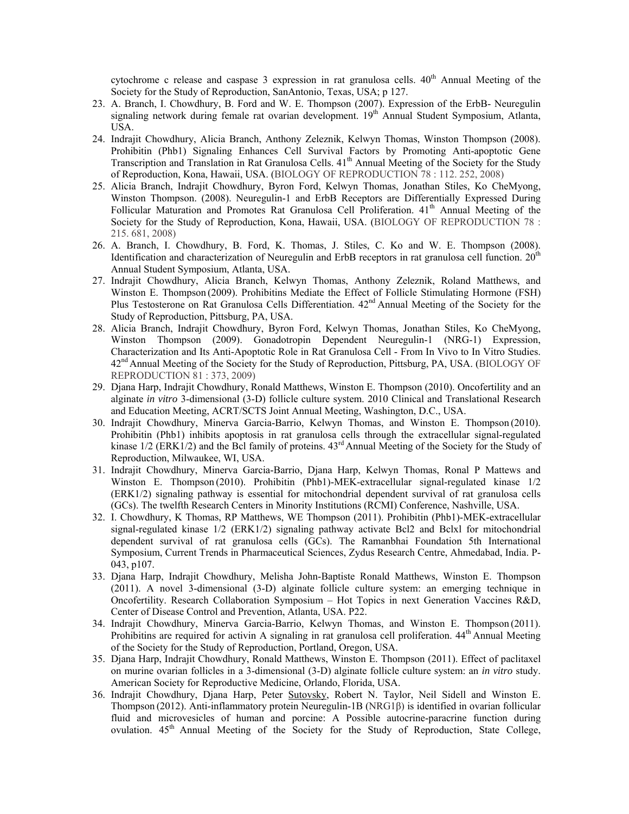cytochrome c release and caspase 3 expression in rat granulosa cells.  $40<sup>th</sup>$  Annual Meeting of the Society for the Study of Reproduction, SanAntonio, Texas, USA; p 127.

- 23. A. Branch, I. Chowdhury, B. Ford and W. E. Thompson (2007). Expression of the ErbB- Neuregulin signaling network during female rat ovarian development. 19<sup>th</sup> Annual Student Symposium, Atlanta, USA.
- 24. Indrajit Chowdhury, Alicia Branch, Anthony Zeleznik, Kelwyn Thomas, Winston Thompson (2008). Prohibitin (Phb1) Signaling Enhances Cell Survival Factors by Promoting Anti-apoptotic Gene Transcription and Translation in Rat Granulosa Cells. 41<sup>th</sup> Annual Meeting of the Society for the Study of Reproduction, Kona, Hawaii, USA. (BIOLOGY OF REPRODUCTION 78 : 112. 252, 2008)
- 25. Alicia Branch, Indrajit Chowdhury, Byron Ford, Kelwyn Thomas, Jonathan Stiles, Ko CheMyong, Winston Thompson. (2008). Neuregulin-1 and ErbB Receptors are Differentially Expressed During Follicular Maturation and Promotes Rat Granulosa Cell Proliferation. 41<sup>th</sup> Annual Meeting of the Society for the Study of Reproduction, Kona, Hawaii, USA. (BIOLOGY OF REPRODUCTION 78 : 215. 681, 2008)
- 26. A. Branch, I. Chowdhury, B. Ford, K. Thomas, J. Stiles, C. Ko and W. E. Thompson (2008). Identification and characterization of Neuregulin and ErbB receptors in rat granulosa cell function. 20<sup>th</sup> Annual Student Symposium, Atlanta, USA.
- 27. Indrajit Chowdhury, Alicia Branch, Kelwyn Thomas, Anthony Zeleznik, Roland Matthews, and Winston E. Thompson (2009). Prohibitins Mediate the Effect of Follicle Stimulating Hormone (FSH) Plus Testosterone on Rat Granulosa Cells Differentiation.  $42<sup>nd</sup>$  Annual Meeting of the Society for the Study of Reproduction, Pittsburg, PA, USA.
- 28. Alicia Branch, Indrajit Chowdhury, Byron Ford, Kelwyn Thomas, Jonathan Stiles, Ko CheMyong, Winston Thompson (2009). Gonadotropin Dependent Neuregulin-1 (NRG-1) Expression, Characterization and Its Anti-Apoptotic Role in Rat Granulosa Cell - From In Vivo to In Vitro Studies. 42<sup>nd</sup> Annual Meeting of the Society for the Study of Reproduction, Pittsburg, PA, USA. (BIOLOGY OF REPRODUCTION 81 : 373, 2009)
- 29. Djana Harp, Indrajit Chowdhury, Ronald Matthews, Winston E. Thompson (2010). Oncofertility and an alginate *in vitro* 3-dimensional (3-D) follicle culture system. 2010 Clinical and Translational Research and Education Meeting, ACRT/SCTS Joint Annual Meeting, Washington, D.C., USA.
- 30. Indrajit Chowdhury, Minerva Garcia-Barrio, Kelwyn Thomas, and Winston E. Thompson (2010). Prohibitin (Phb1) inhibits apoptosis in rat granulosa cells through the extracellular signal-regulated kinase  $1/2$  (ERK1/2) and the Bcl family of proteins.  $43<sup>rd</sup>$  Annual Meeting of the Society for the Study of Reproduction, Milwaukee, WI, USA.
- 31. Indrajit Chowdhury, Minerva Garcia-Barrio, Djana Harp, Kelwyn Thomas, Ronal P Mattews and Winston E. Thompson (2010). Prohibitin (Phb1)-MEK-extracellular signal-regulated kinase 1/2 (ERK1/2) signaling pathway is essential for mitochondrial dependent survival of rat granulosa cells (GCs). The twelfth Research Centers in Minority Institutions (RCMI) Conference, Nashville, USA.
- 32. I. Chowdhury, K Thomas, RP Matthews, WE Thompson (2011). Prohibitin (Phb1)-MEK-extracellular signal-regulated kinase 1/2 (ERK1/2) signaling pathway activate Bcl2 and Bclxl for mitochondrial dependent survival of rat granulosa cells (GCs). The Ramanbhai Foundation 5th International Symposium, Current Trends in Pharmaceutical Sciences, Zydus Research Centre, Ahmedabad, India. P-043, p107.
- 33. Djana Harp, Indrajit Chowdhury, Melisha John-Baptiste Ronald Matthews, Winston E. Thompson (2011). A novel 3-dimensional (3-D) alginate follicle culture system: an emerging technique in Oncofertility. Research Collaboration Symposium – Hot Topics in next Generation Vaccines R&D, Center of Disease Control and Prevention, Atlanta, USA. P22.
- 34. Indrajit Chowdhury, Minerva Garcia-Barrio, Kelwyn Thomas, and Winston E. Thompson (2011). Prohibitins are required for activin A signaling in rat granulosa cell proliferation. 44<sup>th</sup> Annual Meeting of the Society for the Study of Reproduction, Portland, Oregon, USA.
- 35. Djana Harp, Indrajit Chowdhury, Ronald Matthews, Winston E. Thompson (2011). Effect of paclitaxel on murine ovarian follicles in a 3-dimensional (3-D) alginate follicle culture system: an *in vitro* study. American Society for Reproductive Medicine, Orlando, Florida, USA.
- 36. Indrajit Chowdhury, Djana Harp, Peter Sutovsky, Robert N. Taylor, Neil Sidell and Winston E. Thompson (2012). Anti-inflammatory protein Neuregulin-1B (NRG1β) is identified in ovarian follicular fluid and microvesicles of human and porcine: A Possible autocrine-paracrine function during ovulation.  $45<sup>th</sup>$  Annual Meeting of the Society for the Study of Reproduction, State College,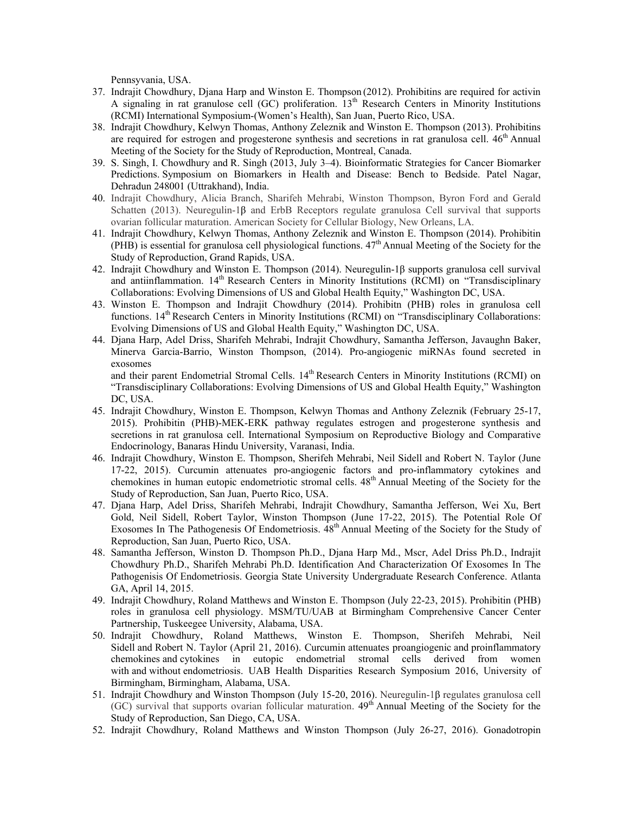Pennsyvania, USA.

- 37. Indrajit Chowdhury, Djana Harp and Winston E. Thompson (2012). Prohibitins are required for activin A signaling in rat granulose cell (GC) proliferation.  $13<sup>th</sup>$  Research Centers in Minority Institutions (RCMI) International Symposium-(Women's Health), San Juan, Puerto Rico, USA.
- 38. Indrajit Chowdhury, Kelwyn Thomas, Anthony Zeleznik and Winston E. Thompson (2013). Prohibitins are required for estrogen and progesterone synthesis and secretions in rat granulosa cell.  $46<sup>th</sup>$  Annual Meeting of the Society for the Study of Reproduction, Montreal, Canada.
- 39. S. Singh, I. Chowdhury and R. Singh (2013, July 3–4). Bioinformatic Strategies for Cancer Biomarker Predictions. Symposium on Biomarkers in Health and Disease: Bench to Bedside. Patel Nagar, Dehradun 248001 (Uttrakhand), India.
- 40. Indrajit Chowdhury, Alicia Branch, Sharifeh Mehrabi, Winston Thompson, Byron Ford and Gerald Schatten (2013). Neuregulin-1β and ErbB Receptors regulate granulosa Cell survival that supports ovarian follicular maturation. American Society for Cellular Biology, New Orleans, LA.
- 41. Indrajit Chowdhury, Kelwyn Thomas, Anthony Zeleznik and Winston E. Thompson (2014). Prohibitin (PHB) is essential for granulosa cell physiological functions.  $47<sup>th</sup>$  Annual Meeting of the Society for the Study of Reproduction, Grand Rapids, USA.
- 42. Indrajit Chowdhury and Winston E. Thompson (2014). Neuregulin-1β supports granulosa cell survival and antiinflammation. 14<sup>th</sup> Research Centers in Minority Institutions (RCMI) on "Transdisciplinary Collaborations: Evolving Dimensions of US and Global Health Equity," Washington DC, USA.
- 43. Winston E. Thompson and Indrajit Chowdhury (2014). Prohibitn (PHB) roles in granulosa cell functions. 14<sup>th</sup> Research Centers in Minority Institutions (RCMI) on "Transdisciplinary Collaborations: Evolving Dimensions of US and Global Health Equity," Washington DC, USA.
- 44. Djana Harp, Adel Driss, Sharifeh Mehrabi, Indrajit Chowdhury, Samantha Jefferson, Javaughn Baker, Minerva Garcia-Barrio, Winston Thompson, (2014). Pro-angiogenic miRNAs found secreted in exosomes

and their parent Endometrial Stromal Cells. 14<sup>th</sup> Research Centers in Minority Institutions (RCMI) on "Transdisciplinary Collaborations: Evolving Dimensions of US and Global Health Equity," Washington DC, USA.

- 45. Indrajit Chowdhury, Winston E. Thompson, Kelwyn Thomas and Anthony Zeleznik (February 25-17, 2015). Prohibitin (PHB)-MEK-ERK pathway regulates estrogen and progesterone synthesis and secretions in rat granulosa cell. International Symposium on Reproductive Biology and Comparative Endocrinology, Banaras Hindu University, Varanasi, India.
- 46. Indrajit Chowdhury, Winston E. Thompson, Sherifeh Mehrabi, Neil Sidell and Robert N. Taylor (June 17-22, 2015). Curcumin attenuates pro-angiogenic factors and pro-inflammatory cytokines and chemokines in human eutopic endometriotic stromal cells.  $48<sup>th</sup>$  Annual Meeting of the Society for the Study of Reproduction, San Juan, Puerto Rico, USA.
- 47. Djana Harp, Adel Driss, Sharifeh Mehrabi, Indrajit Chowdhury, Samantha Jefferson, Wei Xu, Bert Gold, Neil Sidell, Robert Taylor, Winston Thompson (June 17-22, 2015). The Potential Role Of Exosomes In The Pathogenesis Of Endometriosis.  $48<sup>th</sup>$  Annual Meeting of the Society for the Study of Reproduction, San Juan, Puerto Rico, USA.
- 48. Samantha Jefferson, Winston D. Thompson Ph.D., Djana Harp Md., Mscr, Adel Driss Ph.D., Indrajit Chowdhury Ph.D., Sharifeh Mehrabi Ph.D. Identification And Characterization Of Exosomes In The Pathogenisis Of Endometriosis. Georgia State University Undergraduate Research Conference. Atlanta GA, April 14, 2015.
- 49. Indrajit Chowdhury, Roland Matthews and Winston E. Thompson (July 22-23, 2015). Prohibitin (PHB) roles in granulosa cell physiology. MSM/TU/UAB at Birmingham Comprehensive Cancer Center Partnership, Tuskeegee University, Alabama, USA.
- 50. Indrajit Chowdhury, Roland Matthews, Winston E. Thompson, Sherifeh Mehrabi, Neil Sidell and Robert N. Taylor (April 21, 2016). Curcumin attenuates proangiogenic and proinflammatory chemokines and cytokines in eutopic endometrial stromal cells derived from women with and without endometriosis. UAB Health Disparities Research Symposium 2016, University of Birmingham, Birmingham, Alabama, USA.
- 51. Indrajit Chowdhury and Winston Thompson (July 15-20, 2016). Neuregulin-1β regulates granulosa cell (GC) survival that supports ovarian follicular maturation.  $49<sup>th</sup>$  Annual Meeting of the Society for the Study of Reproduction, San Diego, CA, USA.
- 52. Indrajit Chowdhury, Roland Matthews and Winston Thompson (July 26-27, 2016). Gonadotropin